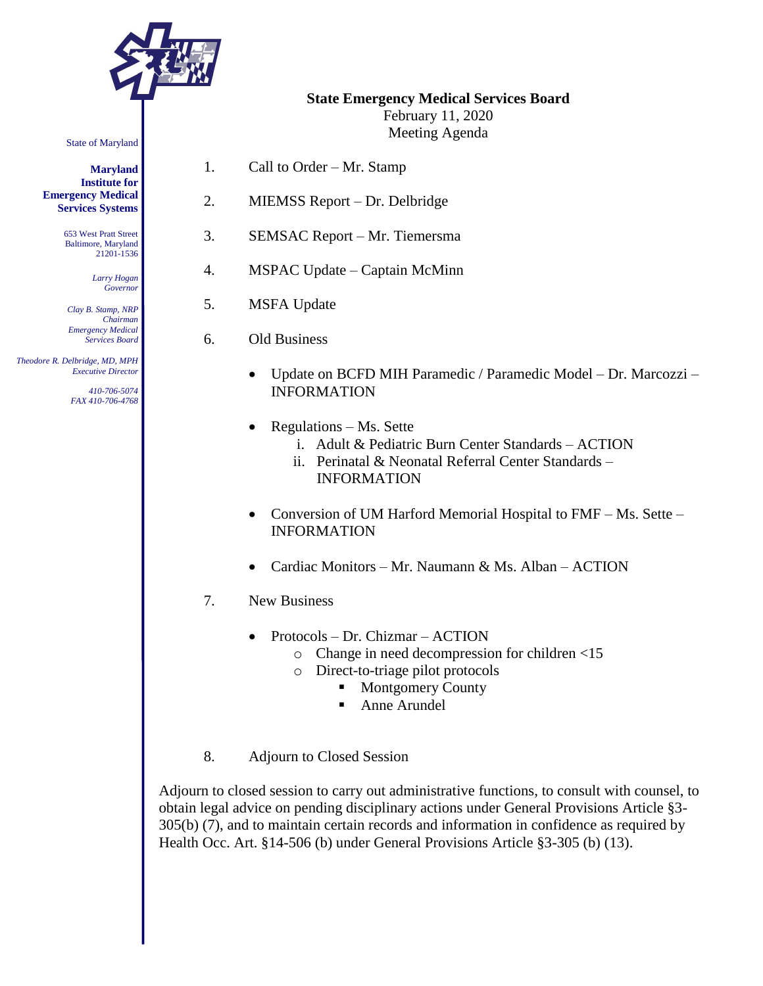

State of Maryland

**Maryland Institute for Emergency Medical Services Systems**

> 653 West Pratt Street Baltimore, Maryland 21201-1536

> > *Larry Hogan Governor*

*Clay B. Stamp, NRP Chairman Emergency Medical Services Board*

 *Theodore R. Delbridge, MD, MPH Executive Director*

> *410-706-5074 FAX 410-706-4768*

**State Emergency Medical Services Board**

February 11, 2020 Meeting Agenda

- 1. Call to Order Mr. Stamp
- 2. MIEMSS Report Dr. Delbridge
- 3. SEMSAC Report Mr. Tiemersma
- 4. MSPAC Update Captain McMinn
- 5. MSFA Update
- 6. Old Business
	- Update on BCFD MIH Paramedic / Paramedic Model Dr. Marcozzi INFORMATION
	- Regulations Ms. Sette
		- i. Adult & Pediatric Burn Center Standards ACTION
		- ii. Perinatal & Neonatal Referral Center Standards INFORMATION
	- Conversion of UM Harford Memorial Hospital to FMF Ms. Sette INFORMATION
	- Cardiac Monitors Mr. Naumann & Ms. Alban ACTION
- 7. New Business
	- Protocols Dr. Chizmar ACTION
		- o Change in need decompression for children <15
			- o Direct-to-triage pilot protocols
				- Montgomery County
					- Anne Arundel
- 8. Adjourn to Closed Session

Adjourn to closed session to carry out administrative functions, to consult with counsel, to obtain legal advice on pending disciplinary actions under General Provisions Article §3- 305(b) (7), and to maintain certain records and information in confidence as required by Health Occ. Art. §14-506 (b) under General Provisions Article §3-305 (b) (13).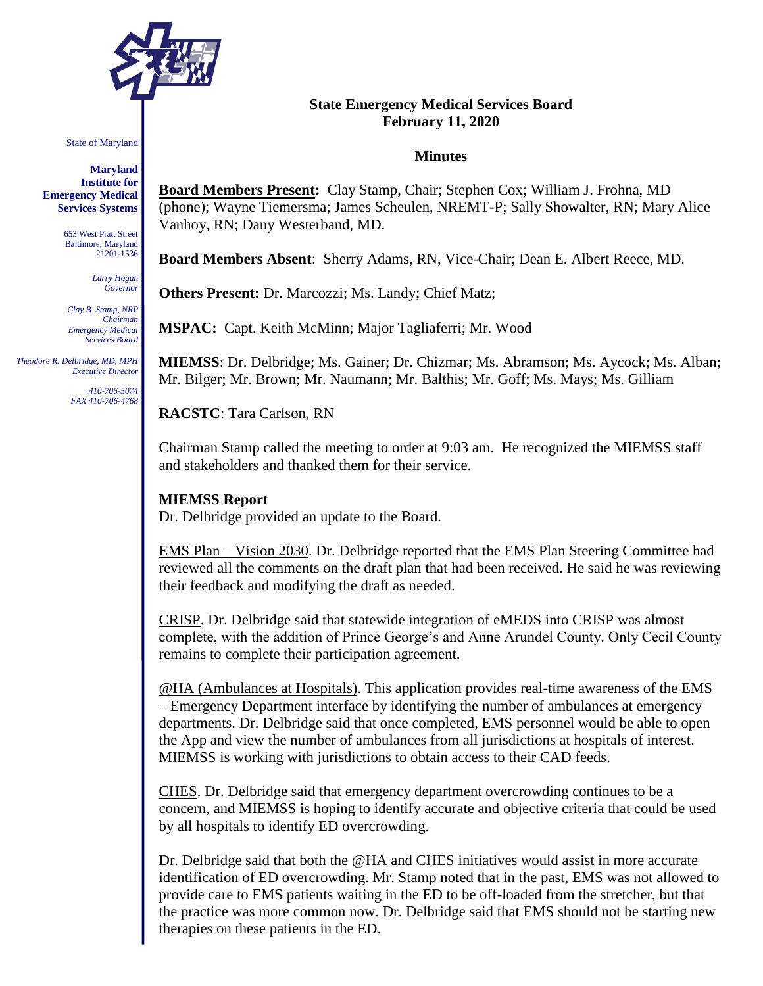

State of Maryland

**Maryland Institute for Emergency Medical Services Systems**

> 653 West Pratt Street Baltimore, Maryland 21201-1536

> > *Larry Hogan Governor*

*Clay B. Stamp, NRP Chairman Emergency Medical Services Board*

 *Theodore R. Delbridge, MD, MPH Executive Director*

> *410-706-5074 FAX 410-706-4768*

# **State Emergency Medical Services Board February 11, 2020**

#### **Minutes**

**Board Members Present:** Clay Stamp, Chair; Stephen Cox; William J. Frohna, MD (phone); Wayne Tiemersma; James Scheulen, NREMT-P; Sally Showalter, RN; Mary Alice Vanhoy, RN; Dany Westerband, MD.

**Board Members Absent**: Sherry Adams, RN, Vice-Chair; Dean E. Albert Reece, MD.

**Others Present:** Dr. Marcozzi; Ms. Landy; Chief Matz;

**MSPAC:** Capt. Keith McMinn; Major Tagliaferri; Mr. Wood

**MIEMSS**: Dr. Delbridge; Ms. Gainer; Dr. Chizmar; Ms. Abramson; Ms. Aycock; Ms. Alban; Mr. Bilger; Mr. Brown; Mr. Naumann; Mr. Balthis; Mr. Goff; Ms. Mays; Ms. Gilliam

**RACSTC**: Tara Carlson, RN

Chairman Stamp called the meeting to order at 9:03 am. He recognized the MIEMSS staff and stakeholders and thanked them for their service.

### **MIEMSS Report**

Dr. Delbridge provided an update to the Board.

EMS Plan – Vision 2030. Dr. Delbridge reported that the EMS Plan Steering Committee had reviewed all the comments on the draft plan that had been received. He said he was reviewing their feedback and modifying the draft as needed.

CRISP. Dr. Delbridge said that statewide integration of eMEDS into CRISP was almost complete, with the addition of Prince George's and Anne Arundel County. Only Cecil County remains to complete their participation agreement.

@HA (Ambulances at Hospitals). This application provides real-time awareness of the EMS – Emergency Department interface by identifying the number of ambulances at emergency departments. Dr. Delbridge said that once completed, EMS personnel would be able to open the App and view the number of ambulances from all jurisdictions at hospitals of interest. MIEMSS is working with jurisdictions to obtain access to their CAD feeds.

CHES. Dr. Delbridge said that emergency department overcrowding continues to be a concern, and MIEMSS is hoping to identify accurate and objective criteria that could be used by all hospitals to identify ED overcrowding.

Dr. Delbridge said that both the @HA and CHES initiatives would assist in more accurate identification of ED overcrowding. Mr. Stamp noted that in the past, EMS was not allowed to provide care to EMS patients waiting in the ED to be off-loaded from the stretcher, but that the practice was more common now. Dr. Delbridge said that EMS should not be starting new therapies on these patients in the ED.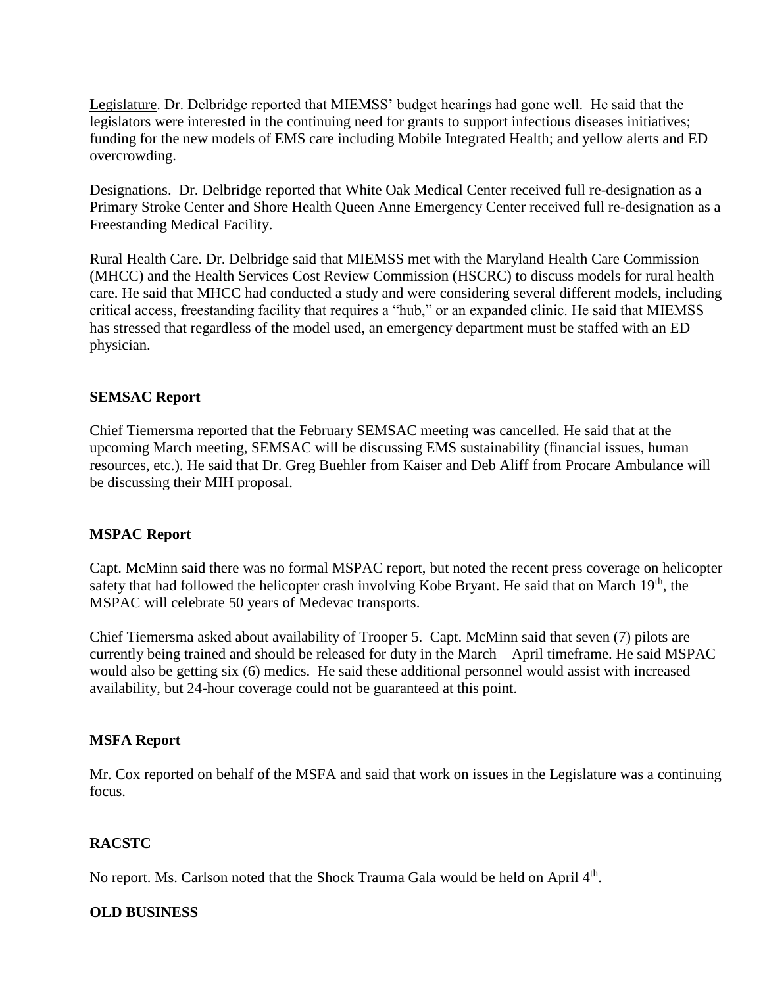Legislature. Dr. Delbridge reported that MIEMSS' budget hearings had gone well. He said that the legislators were interested in the continuing need for grants to support infectious diseases initiatives; funding for the new models of EMS care including Mobile Integrated Health; and yellow alerts and ED overcrowding.

Designations. Dr. Delbridge reported that White Oak Medical Center received full re-designation as a Primary Stroke Center and Shore Health Queen Anne Emergency Center received full re-designation as a Freestanding Medical Facility.

Rural Health Care. Dr. Delbridge said that MIEMSS met with the Maryland Health Care Commission (MHCC) and the Health Services Cost Review Commission (HSCRC) to discuss models for rural health care. He said that MHCC had conducted a study and were considering several different models, including critical access, freestanding facility that requires a "hub," or an expanded clinic. He said that MIEMSS has stressed that regardless of the model used, an emergency department must be staffed with an ED physician.

### **SEMSAC Report**

Chief Tiemersma reported that the February SEMSAC meeting was cancelled. He said that at the upcoming March meeting, SEMSAC will be discussing EMS sustainability (financial issues, human resources, etc.). He said that Dr. Greg Buehler from Kaiser and Deb Aliff from Procare Ambulance will be discussing their MIH proposal.

#### **MSPAC Report**

Capt. McMinn said there was no formal MSPAC report, but noted the recent press coverage on helicopter safety that had followed the helicopter crash involving Kobe Bryant. He said that on March 19<sup>th</sup>, the MSPAC will celebrate 50 years of Medevac transports.

Chief Tiemersma asked about availability of Trooper 5. Capt. McMinn said that seven (7) pilots are currently being trained and should be released for duty in the March – April timeframe. He said MSPAC would also be getting six (6) medics. He said these additional personnel would assist with increased availability, but 24-hour coverage could not be guaranteed at this point.

#### **MSFA Report**

Mr. Cox reported on behalf of the MSFA and said that work on issues in the Legislature was a continuing focus.

# **RACSTC**

No report. Ms. Carlson noted that the Shock Trauma Gala would be held on April 4<sup>th</sup>.

#### **OLD BUSINESS**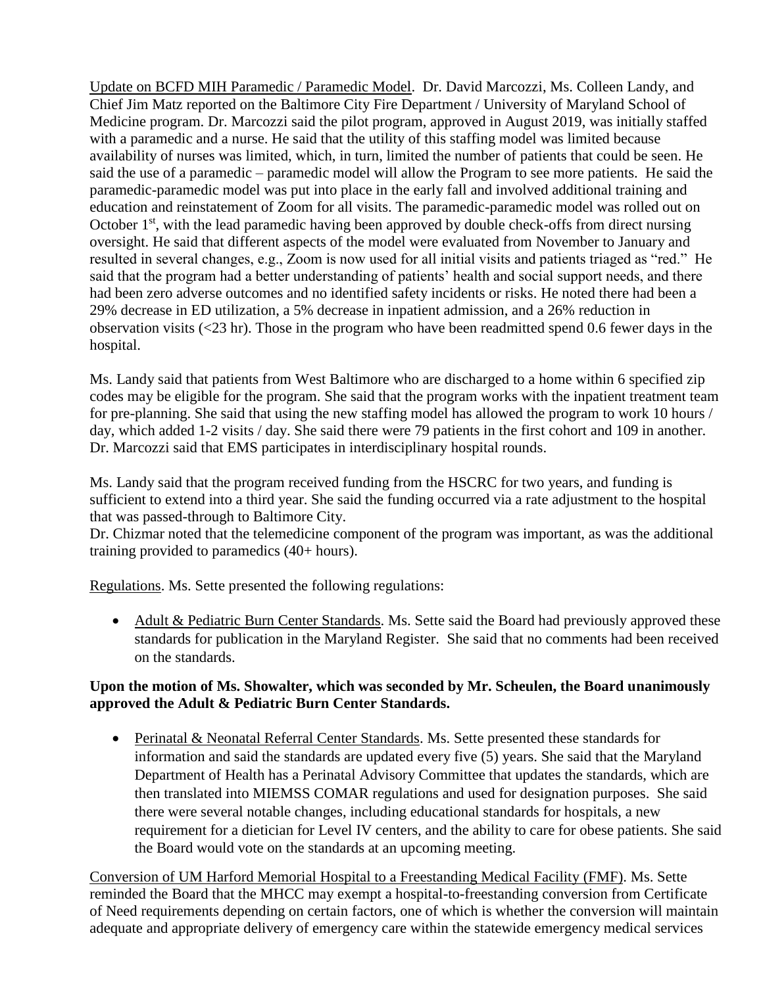Update on BCFD MIH Paramedic / Paramedic Model. Dr. David Marcozzi, Ms. Colleen Landy, and Chief Jim Matz reported on the Baltimore City Fire Department / University of Maryland School of Medicine program. Dr. Marcozzi said the pilot program, approved in August 2019, was initially staffed with a paramedic and a nurse. He said that the utility of this staffing model was limited because availability of nurses was limited, which, in turn, limited the number of patients that could be seen. He said the use of a paramedic – paramedic model will allow the Program to see more patients. He said the paramedic-paramedic model was put into place in the early fall and involved additional training and education and reinstatement of Zoom for all visits. The paramedic-paramedic model was rolled out on October 1<sup>st</sup>, with the lead paramedic having been approved by double check-offs from direct nursing oversight. He said that different aspects of the model were evaluated from November to January and resulted in several changes, e.g., Zoom is now used for all initial visits and patients triaged as "red." He said that the program had a better understanding of patients' health and social support needs, and there had been zero adverse outcomes and no identified safety incidents or risks. He noted there had been a 29% decrease in ED utilization, a 5% decrease in inpatient admission, and a 26% reduction in observation visits (<23 hr). Those in the program who have been readmitted spend 0.6 fewer days in the hospital.

Ms. Landy said that patients from West Baltimore who are discharged to a home within 6 specified zip codes may be eligible for the program. She said that the program works with the inpatient treatment team for pre-planning. She said that using the new staffing model has allowed the program to work 10 hours / day, which added 1-2 visits / day. She said there were 79 patients in the first cohort and 109 in another. Dr. Marcozzi said that EMS participates in interdisciplinary hospital rounds.

Ms. Landy said that the program received funding from the HSCRC for two years, and funding is sufficient to extend into a third year. She said the funding occurred via a rate adjustment to the hospital that was passed-through to Baltimore City.

Dr. Chizmar noted that the telemedicine component of the program was important, as was the additional training provided to paramedics (40+ hours).

Regulations. Ms. Sette presented the following regulations:

• Adult & Pediatric Burn Center Standards. Ms. Sette said the Board had previously approved these standards for publication in the Maryland Register. She said that no comments had been received on the standards.

# **Upon the motion of Ms. Showalter, which was seconded by Mr. Scheulen, the Board unanimously approved the Adult & Pediatric Burn Center Standards.**

• Perinatal & Neonatal Referral Center Standards. Ms. Sette presented these standards for information and said the standards are updated every five (5) years. She said that the Maryland Department of Health has a Perinatal Advisory Committee that updates the standards, which are then translated into MIEMSS COMAR regulations and used for designation purposes. She said there were several notable changes, including educational standards for hospitals, a new requirement for a dietician for Level IV centers, and the ability to care for obese patients. She said the Board would vote on the standards at an upcoming meeting.

Conversion of UM Harford Memorial Hospital to a Freestanding Medical Facility (FMF). Ms. Sette reminded the Board that the MHCC may exempt a hospital-to-freestanding conversion from Certificate of Need requirements depending on certain factors, one of which is whether the conversion will maintain adequate and appropriate delivery of emergency care within the statewide emergency medical services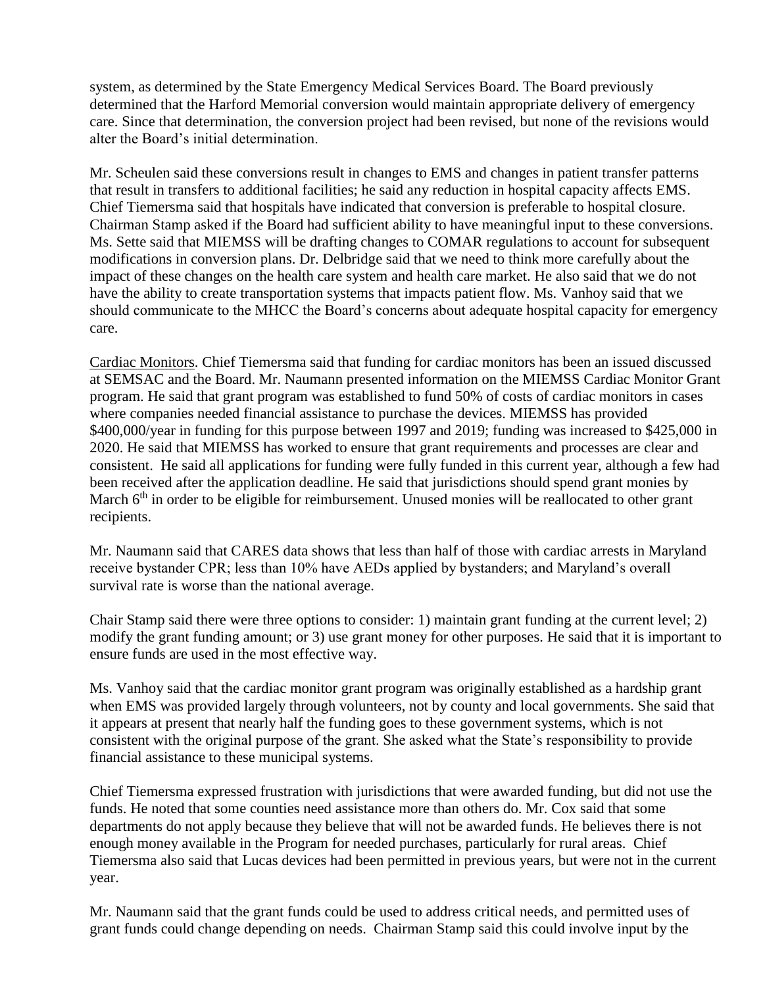system, as determined by the State Emergency Medical Services Board. The Board previously determined that the Harford Memorial conversion would maintain appropriate delivery of emergency care. Since that determination, the conversion project had been revised, but none of the revisions would alter the Board's initial determination.

Mr. Scheulen said these conversions result in changes to EMS and changes in patient transfer patterns that result in transfers to additional facilities; he said any reduction in hospital capacity affects EMS. Chief Tiemersma said that hospitals have indicated that conversion is preferable to hospital closure. Chairman Stamp asked if the Board had sufficient ability to have meaningful input to these conversions. Ms. Sette said that MIEMSS will be drafting changes to COMAR regulations to account for subsequent modifications in conversion plans. Dr. Delbridge said that we need to think more carefully about the impact of these changes on the health care system and health care market. He also said that we do not have the ability to create transportation systems that impacts patient flow. Ms. Vanhoy said that we should communicate to the MHCC the Board's concerns about adequate hospital capacity for emergency care.

Cardiac Monitors. Chief Tiemersma said that funding for cardiac monitors has been an issued discussed at SEMSAC and the Board. Mr. Naumann presented information on the MIEMSS Cardiac Monitor Grant program. He said that grant program was established to fund 50% of costs of cardiac monitors in cases where companies needed financial assistance to purchase the devices. MIEMSS has provided \$400,000/year in funding for this purpose between 1997 and 2019; funding was increased to \$425,000 in 2020. He said that MIEMSS has worked to ensure that grant requirements and processes are clear and consistent. He said all applications for funding were fully funded in this current year, although a few had been received after the application deadline. He said that jurisdictions should spend grant monies by March 6<sup>th</sup> in order to be eligible for reimbursement. Unused monies will be reallocated to other grant recipients.

Mr. Naumann said that CARES data shows that less than half of those with cardiac arrests in Maryland receive bystander CPR; less than 10% have AEDs applied by bystanders; and Maryland's overall survival rate is worse than the national average.

Chair Stamp said there were three options to consider: 1) maintain grant funding at the current level; 2) modify the grant funding amount; or 3) use grant money for other purposes. He said that it is important to ensure funds are used in the most effective way.

Ms. Vanhoy said that the cardiac monitor grant program was originally established as a hardship grant when EMS was provided largely through volunteers, not by county and local governments. She said that it appears at present that nearly half the funding goes to these government systems, which is not consistent with the original purpose of the grant. She asked what the State's responsibility to provide financial assistance to these municipal systems.

Chief Tiemersma expressed frustration with jurisdictions that were awarded funding, but did not use the funds. He noted that some counties need assistance more than others do. Mr. Cox said that some departments do not apply because they believe that will not be awarded funds. He believes there is not enough money available in the Program for needed purchases, particularly for rural areas. Chief Tiemersma also said that Lucas devices had been permitted in previous years, but were not in the current year.

Mr. Naumann said that the grant funds could be used to address critical needs, and permitted uses of grant funds could change depending on needs. Chairman Stamp said this could involve input by the